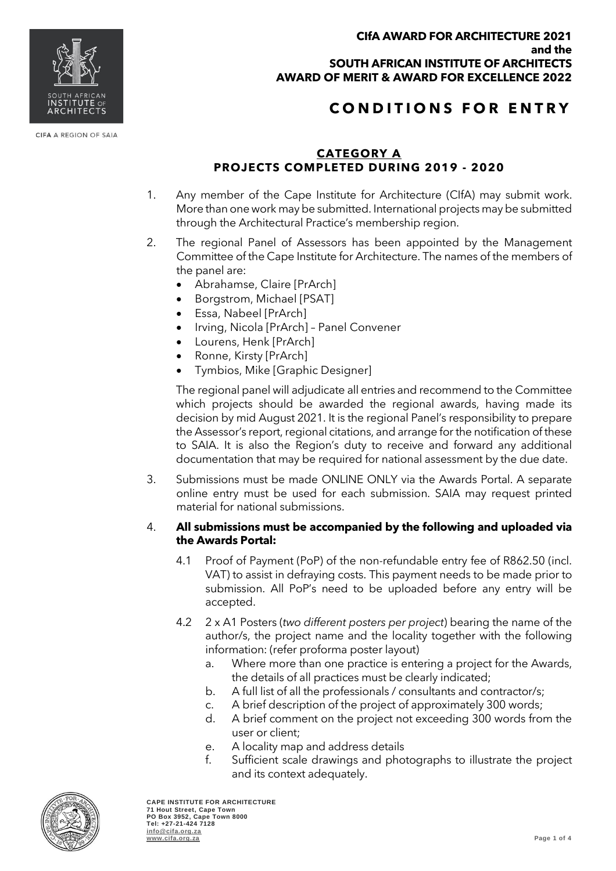

## **C O N D I T I O N S F O R E N T R Y**

### **CATEGORY A PROJECTS COMPLETED DURING 2019 - 2020**

- 1. Any member of the Cape Institute for Architecture (CIfA) may submit work. More than one work may be submitted. International projects may be submitted through the Architectural Practice's membership region.
- 2. The regional Panel of Assessors has been appointed by the Management Committee of the Cape Institute for Architecture. The names of the members of the panel are:
	- Abrahamse, Claire [PrArch]
	- Borgstrom, Michael [PSAT]
	- Essa, Nabeel [PrArch]
	- Irving, Nicola [PrArch] Panel Convener
	- Lourens, Henk [PrArch]
	- Ronne, Kirsty [PrArch]
	- Tymbios, Mike [Graphic Designer]

The regional panel will adjudicate all entries and recommend to the Committee which projects should be awarded the regional awards, having made its decision by mid August 2021. It is the regional Panel's responsibility to prepare the Assessor's report, regional citations, and arrange for the notification of these to SAIA. It is also the Region's duty to receive and forward any additional documentation that may be required for national assessment by the due date.

3. Submissions must be made ONLINE ONLY via the Awards Portal. A separate online entry must be used for each submission. SAIA may request printed material for national submissions.

### 4. **All submissions must be accompanied by the following and uploaded via the Awards Portal:**

- 4.1 Proof of Payment (PoP) of the non-refundable entry fee of R862.50 (incl. VAT) to assist in defraying costs. This payment needs to be made prior to submission. All PoP's need to be uploaded before any entry will be accepted.
- 4.2 2 x A1 Posters (*two different posters per project*) bearing the name of the author/s, the project name and the locality together with the following information: (refer proforma poster layout)
	- a. Where more than one practice is entering a project for the Awards, the details of all practices must be clearly indicated;
	- b. A full list of all the professionals / consultants and contractor/s;
	- c. A brief description of the project of approximately 300 words;
	- d. A brief comment on the project not exceeding 300 words from the user or client;
	- e. A locality map and address details
	- f. Sufficient scale drawings and photographs to illustrate the project and its context adequately.



CIFA A REGION OF SAIA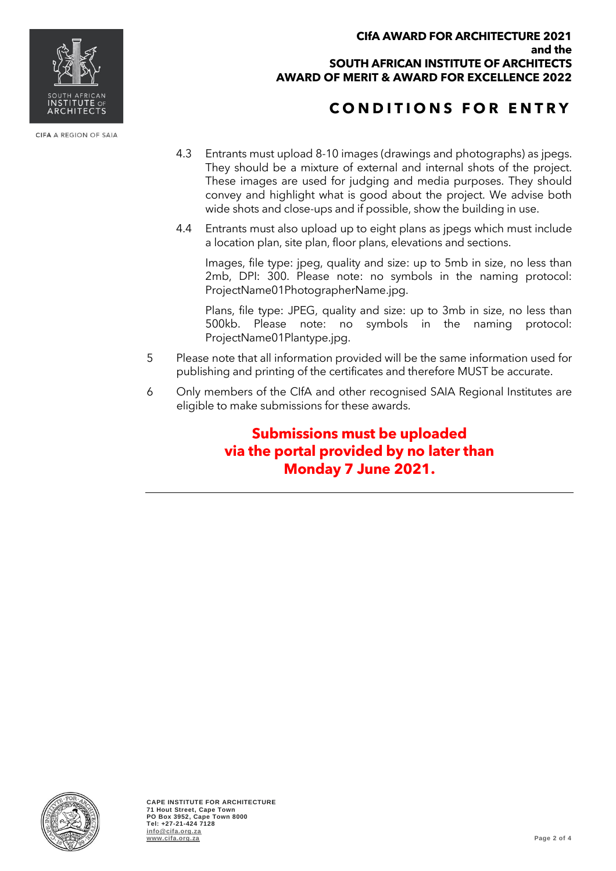

CIFA A REGION OF SAIA

#### **CIfA AWARD FOR ARCHITECTURE 2021 and the SOUTH AFRICAN INSTITUTE OF ARCHITECTS AWARD OF MERIT & AWARD FOR EXCELLENCE 2022**

# **C O N D I T I O N S F O R E N T R Y**

- 4.3 Entrants must upload 8-10 images (drawings and photographs) as jpegs. They should be a mixture of external and internal shots of the project. These images are used for judging and media purposes. They should convey and highlight what is good about the project. We advise both wide shots and close-ups and if possible, show the building in use.
- 4.4 Entrants must also upload up to eight plans as jpegs which must include a location plan, site plan, floor plans, elevations and sections.

Images, file type: jpeg, quality and size: up to 5mb in size, no less than 2mb, DPI: 300. Please note: no symbols in the naming protocol: ProjectName01PhotographerName.jpg.

Plans, file type: JPEG, quality and size: up to 3mb in size, no less than 500kb. Please note: no symbols in the naming protocol: ProjectName01Plantype.jpg.

- 5 Please note that all information provided will be the same information used for publishing and printing of the certificates and therefore MUST be accurate.
- 6 Only members of the CIfA and other recognised SAIA Regional Institutes are eligible to make submissions for these awards.

**Submissions must be uploaded via the portal provided by no later than Monday 7 June 2021.**

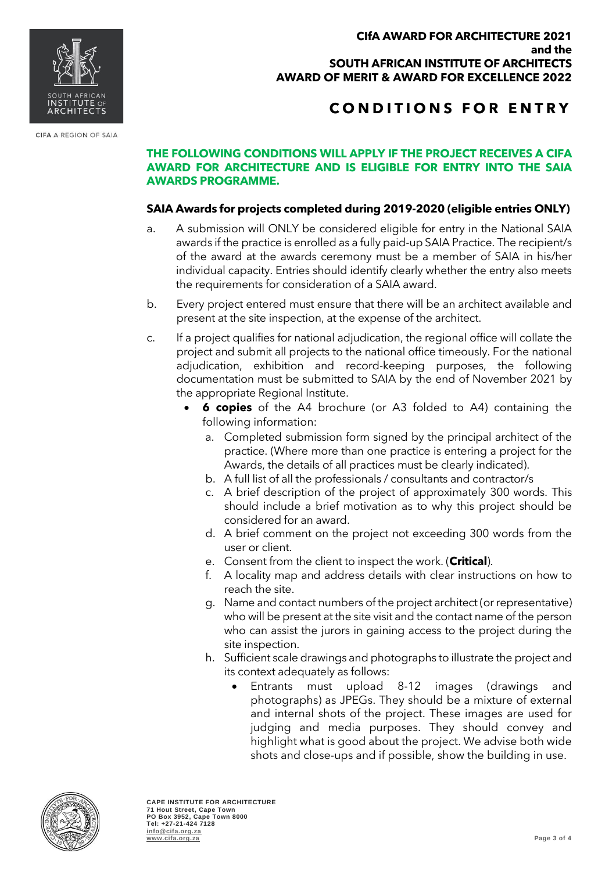#### **CIfA AWARD FOR ARCHITECTURE 2021 and the SOUTH AFRICAN INSTITUTE OF ARCHITECTS AWARD OF MERIT & AWARD FOR EXCELLENCE 2022**

## **C O N D I T I O N S F O R E N T R Y**

### **THE FOLLOWING CONDITIONS WILL APPLY IF THE PROJECT RECEIVES A CIFA AWARD FOR ARCHITECTURE AND IS ELIGIBLE FOR ENTRY INTO THE SAIA AWARDS PROGRAMME.**

### **SAIA Awards for projects completed during 2019-2020 (eligible entries ONLY)**

- a. A submission will ONLY be considered eligible for entry in the National SAIA awards if the practice is enrolled as a fully paid-up SAIA Practice. The recipient/s of the award at the awards ceremony must be a member of SAIA in his/her individual capacity. Entries should identify clearly whether the entry also meets the requirements for consideration of a SAIA award.
- b. Every project entered must ensure that there will be an architect available and present at the site inspection, at the expense of the architect.
- c. If a project qualifies for national adjudication, the regional office will collate the project and submit all projects to the national office timeously. For the national adjudication, exhibition and record-keeping purposes, the following documentation must be submitted to SAIA by the end of November 2021 by the appropriate Regional Institute.
	- **6 copies** of the A4 brochure (or A3 folded to A4) containing the following information:
		- a. Completed submission form signed by the principal architect of the practice. (Where more than one practice is entering a project for the Awards, the details of all practices must be clearly indicated).
		- b. A full list of all the professionals / consultants and contractor/s
		- c. A brief description of the project of approximately 300 words. This should include a brief motivation as to why this project should be considered for an award.
		- d. A brief comment on the project not exceeding 300 words from the user or client.
		- e. Consent from the client to inspect the work. (**Critical**).
		- f. A locality map and address details with clear instructions on how to reach the site.
		- g. Name and contact numbers of the project architect (or representative) who will be present at the site visit and the contact name of the person who can assist the jurors in gaining access to the project during the site inspection.
		- h. Sufficient scale drawings and photographs to illustrate the project and its context adequately as follows:
			- Entrants must upload 8-12 images (drawings and photographs) as JPEGs. They should be a mixture of external and internal shots of the project. These images are used for judging and media purposes. They should convey and highlight what is good about the project. We advise both wide shots and close-ups and if possible, show the building in use.



**CAPE INSTITUTE FOR ARCHITECTURE 71 Hout Street, Cape Town PO Box 3952, Cape Town 8000 Tel: +27-21-424 7128 [info@cifa.org.za](mailto:info@cifa.org.za) [www.cifa.org.za](http://www.cifa.org.za/) Page 3 of 4**



CIFA A REGION OF SAIA